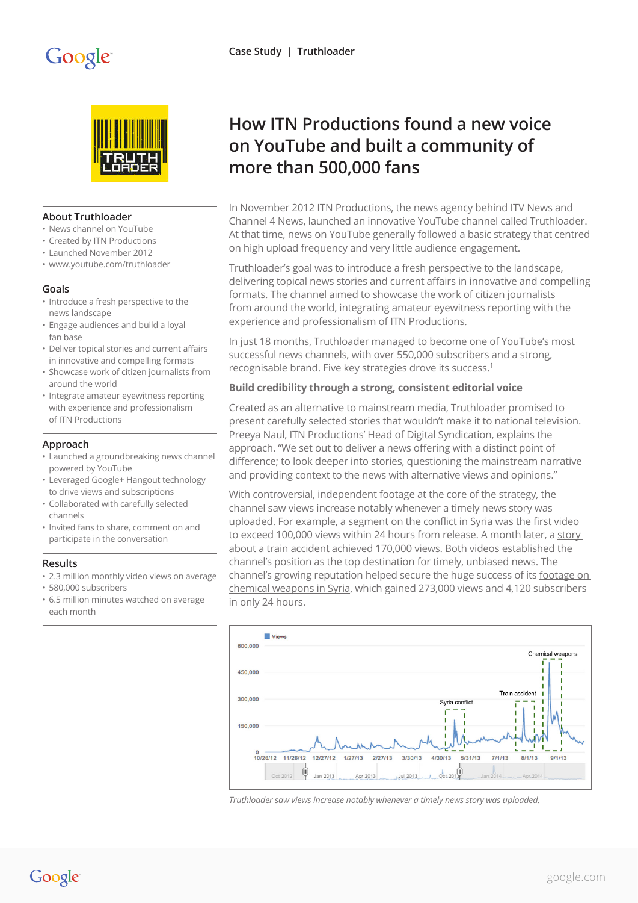# Google



#### **About Truthloader**

- News channel on YouTube
- Created by ITN Productions
- Launched November 2012
- [www.youtube.com/truthloader](http://www.youtube.com/truthloader)

#### **Goals**

- Introduce a fresh perspective to the news landscape
- Engage audiences and build a loyal fan base
- Deliver topical stories and current affairs in innovative and compelling formats
- Showcase work of citizen journalists from around the world
- Integrate amateur eyewitness reporting with experience and professionalism of ITN Productions

## **Approach**

- Launched a groundbreaking news channel powered by YouTube
- Leveraged Google+ Hangout technology to drive views and subscriptions
- Collaborated with carefully selected channels
- Invited fans to share, comment on and participate in the conversation

#### **Results**

- 2.3 million monthly video views on average
- 580,000 subscribers
- 6.5 million minutes watched on average each month

# **How ITN Productions found a new voice on YouTube and built a community of more than 500,000 fans**

In November 2012 ITN Productions, the news agency behind ITV News and Channel 4 News, launched an innovative YouTube channel called Truthloader. At that time, news on YouTube generally followed a basic strategy that centred on high upload frequency and very little audience engagement.

Truthloader's goal was to introduce a fresh perspective to the landscape, delivering topical news stories and current affairs in innovative and compelling formats. The channel aimed to showcase the work of citizen journalists from around the world, integrating amateur eyewitness reporting with the experience and professionalism of ITN Productions.

In just 18 months, Truthloader managed to become one of YouTube's most successful news channels, with over 550,000 subscribers and a strong, recognisable brand. Five key strategies drove its success.1

#### **Build credibility through a strong, consistent editorial voice**

Created as an alternative to mainstream media, Truthloader promised to present carefully selected stories that wouldn't make it to national television. Preeya Naul, ITN Productions' Head of Digital Syndication, explains the approach. "We set out to deliver a news offering with a distinct point of difference; to look deeper into stories, questioning the mainstream narrative and providing context to the news with alternative views and opinions."

With controversial, independent footage at the core of the strategy, the channel saw views increase notably whenever a timely news story was uploaded. For example, a [segment on the conflict in Syria](https://www.youtube.com/watch?v=WIEBH2Kln1U) was the first video to exceed 100,000 views within 24 hours from release. A month later, a [story](https://www.youtube.com/watch?v=ewHNYOVup9Q)  [about a train accident](https://www.youtube.com/watch?v=ewHNYOVup9Q) achieved 170,000 views. Both videos established the channel's position as the top destination for timely, unbiased news. The channel's growing reputation helped secure the huge success of its [footage on](https://www.youtube.com/watch?v=n2GPTqxf8rE)  [chemical weapons in Syria,](https://www.youtube.com/watch?v=n2GPTqxf8rE) which gained 273,000 views and 4,120 subscribers in only 24 hours.



*Truthloader saw views increase notably whenever a timely news story was uploaded.* 

Google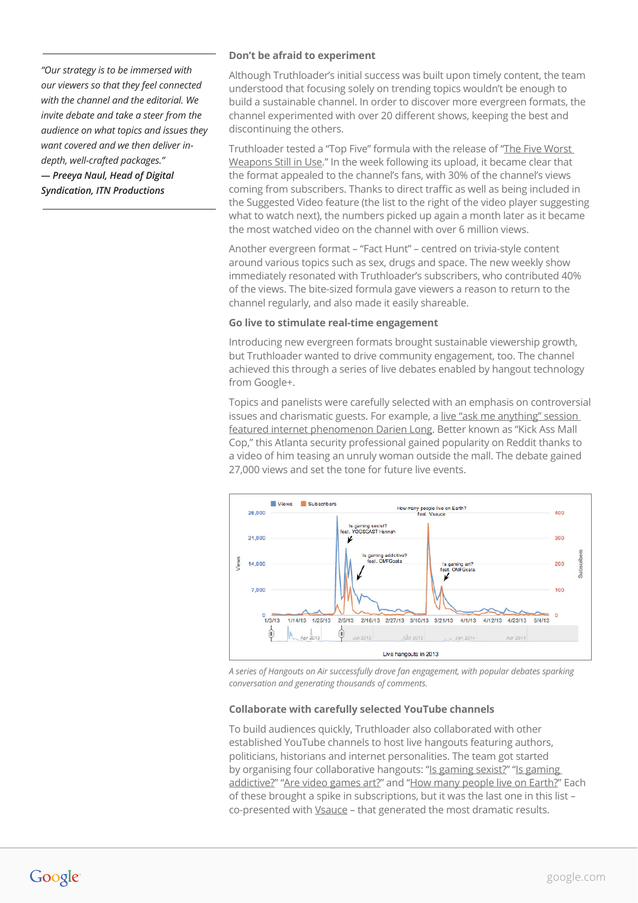*"Our strategy is to be immersed with our viewers so that they feel connected with the channel and the editorial. We invite debate and take a steer from the audience on what topics and issues they want covered and we then deliver indepth, well-crafted packages."*

*— Preeya Naul, Head of Digital Syndication, ITN Productions*

#### **Don't be afraid to experiment**

Although Truthloader's initial success was built upon timely content, the team understood that focusing solely on trending topics wouldn't be enough to build a sustainable channel. In order to discover more evergreen formats, the channel experimented with over 20 different shows, keeping the best and discontinuing the others.

Truthloader tested a "Top Five" formula with the release of ["The Five Worst](https://www.youtube.com/watch?v=2cKodGdly9k)  [Weapons Still in Use.](https://www.youtube.com/watch?v=2cKodGdly9k)" In the week following its upload, it became clear that the format appealed to the channel's fans, with 30% of the channel's views coming from subscribers. Thanks to direct traffic as well as being included in the Suggested Video feature (the list to the right of the video player suggesting what to watch next), the numbers picked up again a month later as it became the most watched video on the channel with over 6 million views.

Another evergreen format – "Fact Hunt" – centred on trivia-style content around various topics such as sex, drugs and space. The new weekly show immediately resonated with Truthloader's subscribers, who contributed 40% of the views. The bite-sized formula gave viewers a reason to return to the channel regularly, and also made it easily shareable.

#### **Go live to stimulate real-time engagement**

Introducing new evergreen formats brought sustainable viewership growth, but Truthloader wanted to drive community engagement, too. The channel achieved this through a series of live debates enabled by hangout technology from Google+.

Topics and panelists were carefully selected with an emphasis on controversial issues and charismatic guests. For example, a live "ask me anything" session [featured internet phenomenon Darien Long](https://www.youtube.com/watch?v=rsxjbutnTDY). Better known as "Kick Ass Mall Cop," this Atlanta security professional gained popularity on Reddit thanks to a video of him teasing an unruly woman outside the mall. The debate gained 27,000 views and set the tone for future live events.



*A series of Hangouts on Air successfully drove fan engagement, with popular debates sparking conversation and generating thousands of comments.*

## **Collaborate with carefully selected YouTube channels**

To build audiences quickly, Truthloader also collaborated with other established YouTube channels to host live hangouts featuring authors, politicians, historians and internet personalities. The team got started by organising four collaborative hangouts: "[Is gaming sexist?"](https://www.youtube.com/watch?v=F0YHHgI9BaQ) "Is gaming [addictive](https://www.youtube.com/watch?v=raObMI6mS0Y)?" ["Are video games art?](https://www.youtube.com/watch?v=VK6xtxeyl7k)" and "[How many people live on Earth?"](https://www.youtube.com/watch?v=F4DCS4uZOUk) Each of these brought a spike in subscriptions, but it was the last one in this list – co-presented with *Vsauce* - that generated the most dramatic results.